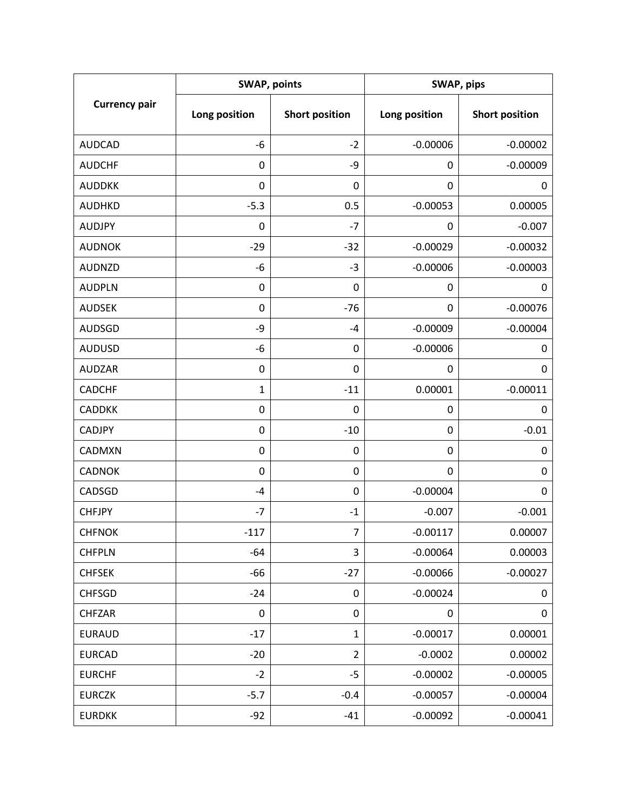| <b>Currency pair</b> | <b>SWAP, points</b> |                       | SWAP, pips    |                       |
|----------------------|---------------------|-----------------------|---------------|-----------------------|
|                      | Long position       | <b>Short position</b> | Long position | <b>Short position</b> |
| <b>AUDCAD</b>        | -6                  | $-2$                  | $-0.00006$    | $-0.00002$            |
| <b>AUDCHF</b>        | 0                   | -9                    | 0             | $-0.00009$            |
| <b>AUDDKK</b>        | 0                   | 0                     | 0             | 0                     |
| <b>AUDHKD</b>        | $-5.3$              | 0.5                   | $-0.00053$    | 0.00005               |
| <b>AUDJPY</b>        | 0                   | $-7$                  | 0             | $-0.007$              |
| <b>AUDNOK</b>        | $-29$               | $-32$                 | $-0.00029$    | $-0.00032$            |
| <b>AUDNZD</b>        | -6                  | $-3$                  | $-0.00006$    | $-0.00003$            |
| <b>AUDPLN</b>        | 0                   | 0                     | 0             | 0                     |
| <b>AUDSEK</b>        | 0                   | $-76$                 | 0             | $-0.00076$            |
| <b>AUDSGD</b>        | -9                  | $-4$                  | $-0.00009$    | $-0.00004$            |
| <b>AUDUSD</b>        | -6                  | 0                     | $-0.00006$    | 0                     |
| <b>AUDZAR</b>        | 0                   | 0                     | 0             | 0                     |
| <b>CADCHF</b>        | 1                   | $-11$                 | 0.00001       | $-0.00011$            |
| <b>CADDKK</b>        | 0                   | 0                     | 0             | 0                     |
| <b>CADJPY</b>        | 0                   | $-10$                 | $\mathbf 0$   | $-0.01$               |
| CADMXN               | 0                   | 0                     | 0             | 0                     |
| <b>CADNOK</b>        | 0                   | 0                     | 0             | 0                     |
| CADSGD               | $-4$                | $\pmb{0}$             | $-0.00004$    | 0                     |
| <b>CHFJPY</b>        | $-7$                | $-1$                  | $-0.007$      | $-0.001$              |
| <b>CHFNOK</b>        | $-117$              | 7                     | $-0.00117$    | 0.00007               |
| <b>CHFPLN</b>        | $-64$               | 3                     | $-0.00064$    | 0.00003               |
| <b>CHFSEK</b>        | $-66$               | $-27$                 | $-0.00066$    | $-0.00027$            |
| <b>CHFSGD</b>        | $-24$               | 0                     | $-0.00024$    | 0                     |
| <b>CHFZAR</b>        | 0                   | 0                     | 0             | 0                     |
| <b>EURAUD</b>        | $-17$               | $\mathbf{1}$          | $-0.00017$    | 0.00001               |
| <b>EURCAD</b>        | $-20$               | $\overline{2}$        | $-0.0002$     | 0.00002               |
| <b>EURCHF</b>        | $-2$                | $-5$                  | $-0.00002$    | $-0.00005$            |
| <b>EURCZK</b>        | $-5.7$              | $-0.4$                | $-0.00057$    | $-0.00004$            |
| <b>EURDKK</b>        | $-92$               | $-41$                 | $-0.00092$    | $-0.00041$            |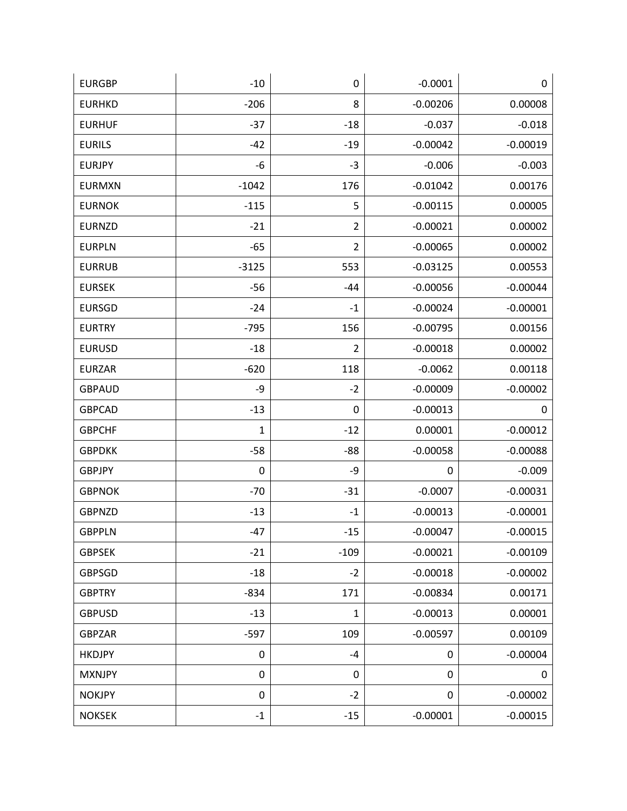| <b>EURGBP</b> | $-10$        | 0              | $-0.0001$  | 0          |
|---------------|--------------|----------------|------------|------------|
| <b>EURHKD</b> | $-206$       | 8              | $-0.00206$ | 0.00008    |
| <b>EURHUF</b> | $-37$        | $-18$          | $-0.037$   | $-0.018$   |
| <b>EURILS</b> | $-42$        | $-19$          | $-0.00042$ | $-0.00019$ |
| <b>EURJPY</b> | -6           | $-3$           | $-0.006$   | $-0.003$   |
| <b>EURMXN</b> | $-1042$      | 176            | $-0.01042$ | 0.00176    |
| <b>EURNOK</b> | $-115$       | 5              | $-0.00115$ | 0.00005    |
| <b>EURNZD</b> | $-21$        | $\overline{2}$ | $-0.00021$ | 0.00002    |
| <b>EURPLN</b> | $-65$        | $\overline{2}$ | $-0.00065$ | 0.00002    |
| <b>EURRUB</b> | $-3125$      | 553            | $-0.03125$ | 0.00553    |
| <b>EURSEK</b> | $-56$        | $-44$          | $-0.00056$ | $-0.00044$ |
| <b>EURSGD</b> | $-24$        | $-1$           | $-0.00024$ | $-0.00001$ |
| <b>EURTRY</b> | $-795$       | 156            | $-0.00795$ | 0.00156    |
| <b>EURUSD</b> | $-18$        | $\overline{2}$ | $-0.00018$ | 0.00002    |
| <b>EURZAR</b> | $-620$       | 118            | $-0.0062$  | 0.00118    |
| <b>GBPAUD</b> | -9           | $-2$           | $-0.00009$ | $-0.00002$ |
| <b>GBPCAD</b> | $-13$        | 0              | $-0.00013$ | 0          |
| <b>GBPCHF</b> | $\mathbf{1}$ | $-12$          | 0.00001    | $-0.00012$ |
| <b>GBPDKK</b> | $-58$        | $-88$          | $-0.00058$ | $-0.00088$ |
| <b>GBPJPY</b> | $\pmb{0}$    | -9             | 0          | $-0.009$   |
| <b>GBPNOK</b> | $-70$        | $-31$          | $-0.0007$  | $-0.00031$ |
| <b>GBPNZD</b> | $-13$        | $-1$           | $-0.00013$ | $-0.00001$ |
| <b>GBPPLN</b> | $-47$        | $-15$          | $-0.00047$ | $-0.00015$ |
| <b>GBPSEK</b> | $-21$        | $-109$         | $-0.00021$ | $-0.00109$ |
| <b>GBPSGD</b> | $-18$        | $-2$           | $-0.00018$ | $-0.00002$ |
| <b>GBPTRY</b> | $-834$       | 171            | $-0.00834$ | 0.00171    |
| <b>GBPUSD</b> | $-13$        | $\mathbf{1}$   | $-0.00013$ | 0.00001    |
| <b>GBPZAR</b> | $-597$       | 109            | $-0.00597$ | 0.00109    |
| <b>HKDJPY</b> | $\pmb{0}$    | $-4$           | 0          | $-0.00004$ |
| <b>MXNJPY</b> | $\pmb{0}$    | 0              | 0          | 0          |
| <b>NOKJPY</b> | $\pmb{0}$    | $-2$           | 0          | $-0.00002$ |
| <b>NOKSEK</b> | $-1$         | $-15$          | $-0.00001$ | $-0.00015$ |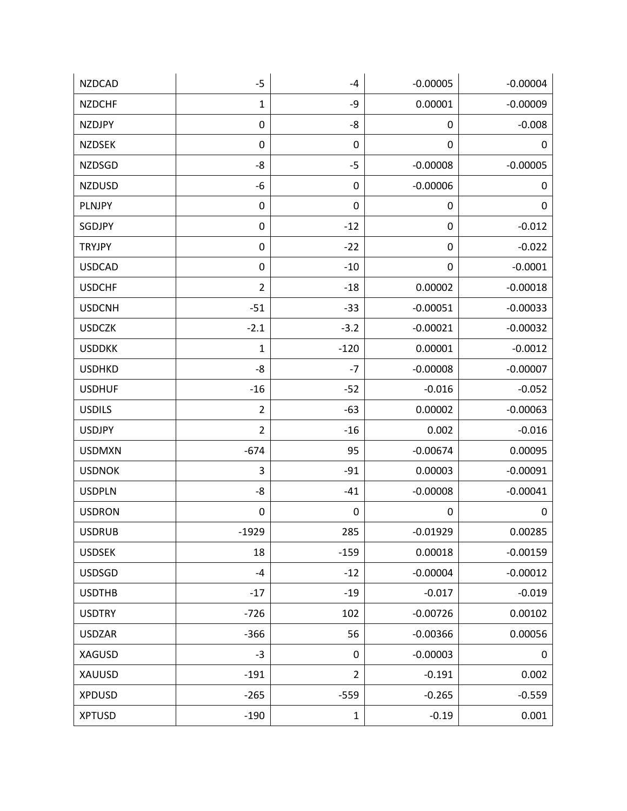| <b>NZDCAD</b> | $-5$           | $-4$           | $-0.00005$       | $-0.00004$ |
|---------------|----------------|----------------|------------------|------------|
| <b>NZDCHF</b> | $\mathbf 1$    | -9             | 0.00001          | $-0.00009$ |
| <b>NZDJPY</b> | $\pmb{0}$      | -8             | 0                | $-0.008$   |
| <b>NZDSEK</b> | $\mathbf 0$    | 0              | 0                | 0          |
| <b>NZDSGD</b> | -8             | $-5$           | $-0.00008$       | $-0.00005$ |
| <b>NZDUSD</b> | -6             | 0              | $-0.00006$       | 0          |
| PLNJPY        | $\pmb{0}$      | 0              | 0                | 0          |
| SGDJPY        | $\pmb{0}$      | $-12$          | $\boldsymbol{0}$ | $-0.012$   |
| <b>TRYJPY</b> | $\pmb{0}$      | $-22$          | $\boldsymbol{0}$ | $-0.022$   |
| <b>USDCAD</b> | $\pmb{0}$      | $-10$          | 0                | $-0.0001$  |
| <b>USDCHF</b> | $\overline{2}$ | $-18$          | 0.00002          | $-0.00018$ |
| <b>USDCNH</b> | $-51$          | $-33$          | $-0.00051$       | $-0.00033$ |
| <b>USDCZK</b> | $-2.1$         | $-3.2$         | $-0.00021$       | $-0.00032$ |
| <b>USDDKK</b> | $\mathbf{1}$   | $-120$         | 0.00001          | $-0.0012$  |
| <b>USDHKD</b> | -8             | $-7$           | $-0.00008$       | $-0.00007$ |
| <b>USDHUF</b> | $-16$          | $-52$          | $-0.016$         | $-0.052$   |
| <b>USDILS</b> | $\overline{2}$ | $-63$          | 0.00002          | $-0.00063$ |
| <b>USDJPY</b> | $\overline{2}$ | $-16$          | 0.002            | $-0.016$   |
| <b>USDMXN</b> | $-674$         | 95             | $-0.00674$       | 0.00095    |
| <b>USDNOK</b> | 3              | $-91$          | 0.00003          | $-0.00091$ |
| <b>USDPLN</b> | -8             | $-41$          | $-0.00008$       | $-0.00041$ |
| <b>USDRON</b> | 0              | 0              | 0                | 0          |
| <b>USDRUB</b> | $-1929$        | 285            | $-0.01929$       | 0.00285    |
| <b>USDSEK</b> | 18             | $-159$         | 0.00018          | $-0.00159$ |
| <b>USDSGD</b> | $-4$           | $-12$          | $-0.00004$       | $-0.00012$ |
| <b>USDTHB</b> | $-17$          | $-19$          | $-0.017$         | $-0.019$   |
| <b>USDTRY</b> | $-726$         | 102            | $-0.00726$       | 0.00102    |
| <b>USDZAR</b> | $-366$         | 56             | $-0.00366$       | 0.00056    |
| <b>XAGUSD</b> | $-3$           | 0              | $-0.00003$       | 0          |
| XAUUSD        | $-191$         | $\overline{2}$ | $-0.191$         | 0.002      |
| <b>XPDUSD</b> | $-265$         | $-559$         | $-0.265$         | $-0.559$   |
| <b>XPTUSD</b> | $-190$         | $\mathbf{1}$   | $-0.19$          | 0.001      |